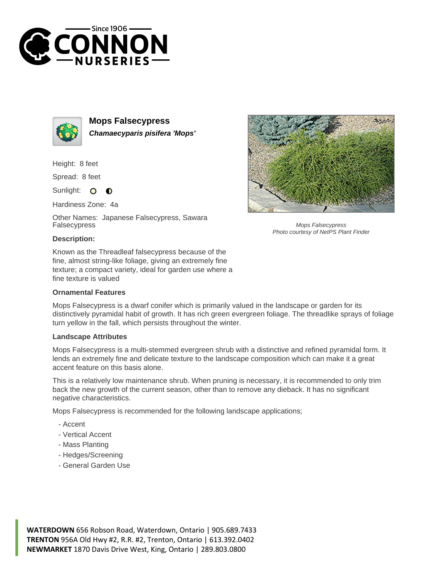



**Mops Falsecypress Chamaecyparis pisifera 'Mops'**

Height: 8 feet

Spread: 8 feet

Sunlight:  $\bullet$  $\bullet$ 

Hardiness Zone: 4a

Other Names: Japanese Falsecypress, Sawara Falsecypress



Mops Falsecypress Photo courtesy of NetPS Plant Finder

## **Description:**

Known as the Threadleaf falsecypress because of the fine, almost string-like foliage, giving an extremely fine texture; a compact variety, ideal for garden use where a fine texture is valued

## **Ornamental Features**

Mops Falsecypress is a dwarf conifer which is primarily valued in the landscape or garden for its distinctively pyramidal habit of growth. It has rich green evergreen foliage. The threadlike sprays of foliage turn yellow in the fall, which persists throughout the winter.

## **Landscape Attributes**

Mops Falsecypress is a multi-stemmed evergreen shrub with a distinctive and refined pyramidal form. It lends an extremely fine and delicate texture to the landscape composition which can make it a great accent feature on this basis alone.

This is a relatively low maintenance shrub. When pruning is necessary, it is recommended to only trim back the new growth of the current season, other than to remove any dieback. It has no significant negative characteristics.

Mops Falsecypress is recommended for the following landscape applications;

- Accent
- Vertical Accent
- Mass Planting
- Hedges/Screening
- General Garden Use

**WATERDOWN** 656 Robson Road, Waterdown, Ontario | 905.689.7433 **TRENTON** 956A Old Hwy #2, R.R. #2, Trenton, Ontario | 613.392.0402 **NEWMARKET** 1870 Davis Drive West, King, Ontario | 289.803.0800